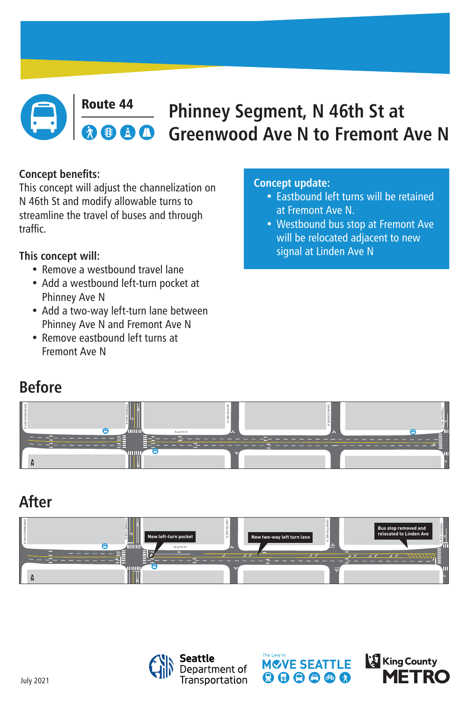# **Before**

**After**





#### Route 44 **Phinney Segment, N 46th St at**  AA **Greenwood Ave N to Fremont Ave N**

### **Concept benefits:**

This concept will adjust the channelization on N 46th St and modify allowable turns to streamline the travel of buses and through traffic.

- Remove a westbound travel lane
- Add a westbound left-turn pocket at Phinney Ave N
- Add a two-way left-turn lane between Phinney Ave N and Fremont Ave N
- Remove eastbound left turns at Fremont Ave N

### **This concept will:**

July 2021

### **Concept update:**

- Eastbound left turns will be retained at Fremont Ave N.
- Westbound bus stop at Fremont Ave will be relocated adjacent to new

### signal at Linden Ave N







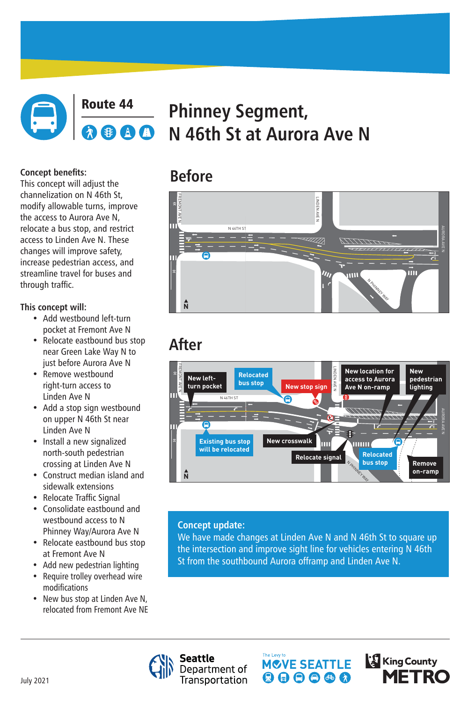

### Route 44 **Phinney Segment,**  AG **N 46th St at Aurora Ave N**

## **Before**

 $\bigoplus$ 

# **After**



 $\boldsymbol{\eta}$ 

N PHINNEY WAY

 $\sqrt{\frac{2}{3}}$ 

Ш

7777777777

IIII

**N**

#### **Concept benefits:**

This concept will adjust the channelization on N 46th St, modify allowable turns, improve the access to Aurora Ave N, relocate a bus stop, and restrict access to Linden Ave N. These changes will improve safety, increase pedestrian access, and streamline travel for buses and through traffic.

- Add westbound left-turn pocket at Fremont Ave N
- Relocate eastbound bus stop near Green Lake Way N to just before Aurora Ave N
- **Remove westbound** right-turn access to Linden Ave N
- Add a stop sign westbound on upper N 46th St near Linden Ave N
- Install a new signalized north-south pedestrian crossing at Linden Ave N
- Construct median island and sidewalk extensions

### **This concept will:**

We have made changes at Linden Ave N and N 46th St to square up the intersection and improve sight line for vehicles entering N 46th St from the southbound Aurora offramp and Linden Ave N.







- Relocate Traffic Signal
- Consolidate eastbound and westbound access to N Phinney Way/Aurora Ave N
- Relocate eastbound bus stop at Fremont Ave N
- Add new pedestrian lighting
- Require trolley overhead wire modifications
- New bus stop at Linden Ave N, relocated from Fremont Ave NE

#### **Concept update:**

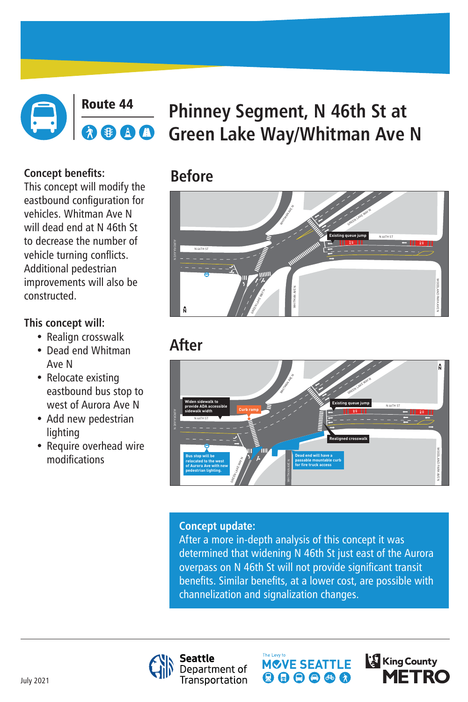## **Before**



### Route 44 **Phinney Segment, N 46th St at**  AA **Green Lake Way/Whitman Ave N**

## **After**

### **Concept benefits:**

This concept will modify the eastbound configuration for vehicles. Whitman Ave N will dead end at N 46th St to decrease the number of vehicle turning conflicts. Additional pedestrian improvements will also be constructed.

- Realign crosswalk
- Dead end Whitman Ave N
- Relocate existing eastbound bus stop to west of Aurora Ave N
- Add new pedestrian lighting
- Require overhead wire modifications

### **This concept will:**

#### **Concept update:**

After a more in-depth analysis of this concept it was determined that widening N 46th St just east of the Aurora overpass on N 46th St will not provide significant transit benefits. Similar benefits, at a lower cost, are possible with











July 2021